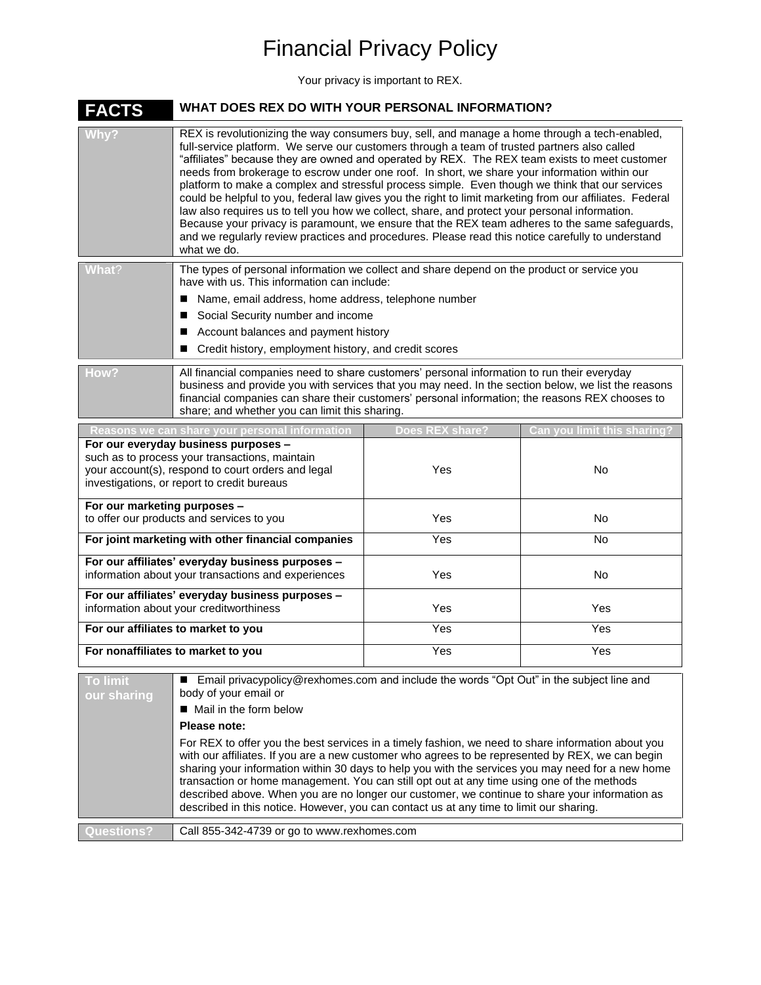## Financial Privacy Policy

Your privacy is important to REX.

| <b>FACTS</b>                                                                                                                                                                                | WHAT DOES REX DO WITH YOUR PERSONAL INFORMATION?                                                                                                                                                                                                                                                                                                                                                                                                                                                                                                                                                                                                                                                                                                                                                                                                                                                                                       |                   |           |  |  |
|---------------------------------------------------------------------------------------------------------------------------------------------------------------------------------------------|----------------------------------------------------------------------------------------------------------------------------------------------------------------------------------------------------------------------------------------------------------------------------------------------------------------------------------------------------------------------------------------------------------------------------------------------------------------------------------------------------------------------------------------------------------------------------------------------------------------------------------------------------------------------------------------------------------------------------------------------------------------------------------------------------------------------------------------------------------------------------------------------------------------------------------------|-------------------|-----------|--|--|
| /Why?                                                                                                                                                                                       | REX is revolutionizing the way consumers buy, sell, and manage a home through a tech-enabled,<br>full-service platform. We serve our customers through a team of trusted partners also called<br>"affiliates" because they are owned and operated by REX. The REX team exists to meet customer<br>needs from brokerage to escrow under one roof. In short, we share your information within our<br>platform to make a complex and stressful process simple. Even though we think that our services<br>could be helpful to you, federal law gives you the right to limit marketing from our affiliates. Federal<br>law also requires us to tell you how we collect, share, and protect your personal information.<br>Because your privacy is paramount, we ensure that the REX team adheres to the same safeguards,<br>and we regularly review practices and procedures. Please read this notice carefully to understand<br>what we do. |                   |           |  |  |
| What?                                                                                                                                                                                       | The types of personal information we collect and share depend on the product or service you<br>have with us. This information can include:<br>Name, email address, home address, telephone number<br>Social Security number and income<br>Account balances and payment history<br>ш<br>Credit history, employment history, and credit scores                                                                                                                                                                                                                                                                                                                                                                                                                                                                                                                                                                                           |                   |           |  |  |
| How?                                                                                                                                                                                        | All financial companies need to share customers' personal information to run their everyday<br>business and provide you with services that you may need. In the section below, we list the reasons<br>financial companies can share their customers' personal information; the reasons REX chooses to<br>share; and whether you can limit this sharing.                                                                                                                                                                                                                                                                                                                                                                                                                                                                                                                                                                                |                   |           |  |  |
| Reasons we can share your personal<br>Does<br>Can vou limit this sha                                                                                                                        |                                                                                                                                                                                                                                                                                                                                                                                                                                                                                                                                                                                                                                                                                                                                                                                                                                                                                                                                        |                   |           |  |  |
| For our everyday business purposes -<br>such as to process your transactions, maintain<br>your account(s), respond to court orders and legal<br>investigations, or report to credit bureaus |                                                                                                                                                                                                                                                                                                                                                                                                                                                                                                                                                                                                                                                                                                                                                                                                                                                                                                                                        | Yes               | No        |  |  |
| For our marketing purposes -<br>to offer our products and services to you                                                                                                                   |                                                                                                                                                                                                                                                                                                                                                                                                                                                                                                                                                                                                                                                                                                                                                                                                                                                                                                                                        | Yes               | <b>No</b> |  |  |
| For joint marketing with other financial companies                                                                                                                                          |                                                                                                                                                                                                                                                                                                                                                                                                                                                                                                                                                                                                                                                                                                                                                                                                                                                                                                                                        | $\overline{Y}$ es | <b>No</b> |  |  |
| For our affiliates' everyday business purposes -<br>information about your transactions and experiences                                                                                     |                                                                                                                                                                                                                                                                                                                                                                                                                                                                                                                                                                                                                                                                                                                                                                                                                                                                                                                                        | Yes               | <b>No</b> |  |  |
| For our affiliates' everyday business purposes -<br>information about your creditworthiness                                                                                                 |                                                                                                                                                                                                                                                                                                                                                                                                                                                                                                                                                                                                                                                                                                                                                                                                                                                                                                                                        | Yes               | Yes       |  |  |
| For our affiliates to market to you                                                                                                                                                         |                                                                                                                                                                                                                                                                                                                                                                                                                                                                                                                                                                                                                                                                                                                                                                                                                                                                                                                                        | Yes               | Yes       |  |  |
| For nonaffiliates to market to you                                                                                                                                                          |                                                                                                                                                                                                                                                                                                                                                                                                                                                                                                                                                                                                                                                                                                                                                                                                                                                                                                                                        | Yes               | Yes       |  |  |
| <b>To limit</b><br>our sharing                                                                                                                                                              | ■ Email privacypolicy@rexhomes.com and include the words "Opt Out" in the subject line and<br>body of your email or<br>■ Mail in the form below<br>Please note:<br>For REX to offer you the best services in a timely fashion, we need to share information about you<br>with our affiliates. If you are a new customer who agrees to be represented by REX, we can begin<br>sharing your information within 30 days to help you with the services you may need for a new home<br>transaction or home management. You can still opt out at any time using one of the methods<br>described above. When you are no longer our customer, we continue to share your information as<br>described in this notice. However, you can contact us at any time to limit our sharing.                                                                                                                                                              |                   |           |  |  |

**Questions?** Call 855-342-4739 or go to www.rexhomes.com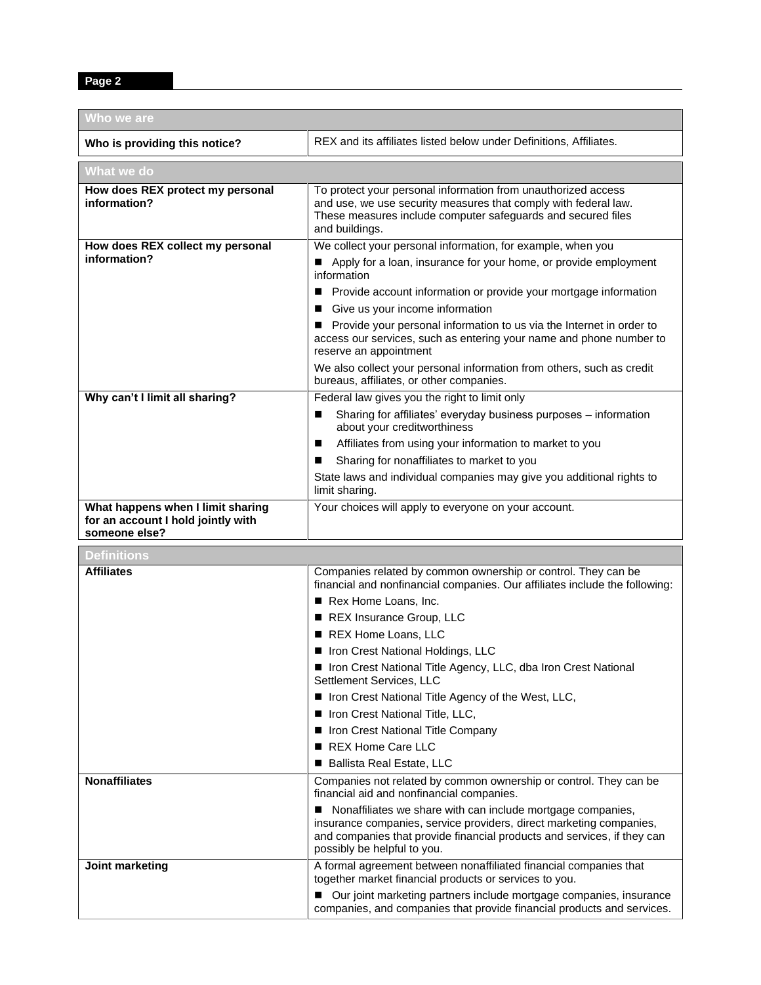**Page 2**

| Who we are                                                                               |                                                                                                                                                                                                                                                   |  |  |  |  |
|------------------------------------------------------------------------------------------|---------------------------------------------------------------------------------------------------------------------------------------------------------------------------------------------------------------------------------------------------|--|--|--|--|
| Who is providing this notice?                                                            | REX and its affiliates listed below under Definitions, Affiliates.                                                                                                                                                                                |  |  |  |  |
| What we do                                                                               |                                                                                                                                                                                                                                                   |  |  |  |  |
| How does REX protect my personal<br>information?                                         | To protect your personal information from unauthorized access<br>and use, we use security measures that comply with federal law.<br>These measures include computer safeguards and secured files<br>and buildings.                                |  |  |  |  |
| How does REX collect my personal                                                         | We collect your personal information, for example, when you                                                                                                                                                                                       |  |  |  |  |
| information?                                                                             | Apply for a loan, insurance for your home, or provide employment<br>information                                                                                                                                                                   |  |  |  |  |
|                                                                                          | Provide account information or provide your mortgage information<br>■                                                                                                                                                                             |  |  |  |  |
|                                                                                          | Give us your income information                                                                                                                                                                                                                   |  |  |  |  |
|                                                                                          | Provide your personal information to us via the Internet in order to<br>access our services, such as entering your name and phone number to<br>reserve an appointment                                                                             |  |  |  |  |
|                                                                                          | We also collect your personal information from others, such as credit<br>bureaus, affiliates, or other companies.                                                                                                                                 |  |  |  |  |
| Why can't I limit all sharing?                                                           | Federal law gives you the right to limit only                                                                                                                                                                                                     |  |  |  |  |
|                                                                                          | Sharing for affiliates' everyday business purposes - information<br>∎<br>about your creditworthiness                                                                                                                                              |  |  |  |  |
|                                                                                          | Affiliates from using your information to market to you<br>∎                                                                                                                                                                                      |  |  |  |  |
|                                                                                          | Sharing for nonaffiliates to market to you<br>■                                                                                                                                                                                                   |  |  |  |  |
|                                                                                          | State laws and individual companies may give you additional rights to<br>limit sharing.                                                                                                                                                           |  |  |  |  |
| What happens when I limit sharing<br>for an account I hold jointly with<br>someone else? | Your choices will apply to everyone on your account.                                                                                                                                                                                              |  |  |  |  |
| <b>Definitions</b>                                                                       |                                                                                                                                                                                                                                                   |  |  |  |  |
| <b>Affiliates</b>                                                                        | Companies related by common ownership or control. They can be                                                                                                                                                                                     |  |  |  |  |
|                                                                                          | financial and nonfinancial companies. Our affiliates include the following:                                                                                                                                                                       |  |  |  |  |
|                                                                                          | Rex Home Loans, Inc.                                                                                                                                                                                                                              |  |  |  |  |
|                                                                                          | REX Insurance Group, LLC                                                                                                                                                                                                                          |  |  |  |  |
|                                                                                          | REX Home Loans, LLC<br>■                                                                                                                                                                                                                          |  |  |  |  |
|                                                                                          | In Iron Crest National Holdings, LLC                                                                                                                                                                                                              |  |  |  |  |
|                                                                                          | Inon Crest National Title Agency, LLC, dba Iron Crest National<br>Settlement Services, LLC                                                                                                                                                        |  |  |  |  |
|                                                                                          | ■ Iron Crest National Title Agency of the West, LLC,                                                                                                                                                                                              |  |  |  |  |
|                                                                                          | Iron Crest National Title, LLC,<br>ш                                                                                                                                                                                                              |  |  |  |  |
|                                                                                          | Iron Crest National Title Company<br>■<br><b>REX Home Care LLC</b><br>∎                                                                                                                                                                           |  |  |  |  |
|                                                                                          | Ballista Real Estate, LLC<br>■                                                                                                                                                                                                                    |  |  |  |  |
| <b>Nonaffiliates</b>                                                                     | Companies not related by common ownership or control. They can be                                                                                                                                                                                 |  |  |  |  |
|                                                                                          | financial aid and nonfinancial companies.                                                                                                                                                                                                         |  |  |  |  |
|                                                                                          | Nonaffiliates we share with can include mortgage companies,<br>■<br>insurance companies, service providers, direct marketing companies,<br>and companies that provide financial products and services, if they can<br>possibly be helpful to you. |  |  |  |  |
| Joint marketing                                                                          | A formal agreement between nonaffiliated financial companies that<br>together market financial products or services to you.                                                                                                                       |  |  |  |  |
|                                                                                          | Our joint marketing partners include mortgage companies, insurance<br>■<br>companies, and companies that provide financial products and services.                                                                                                 |  |  |  |  |